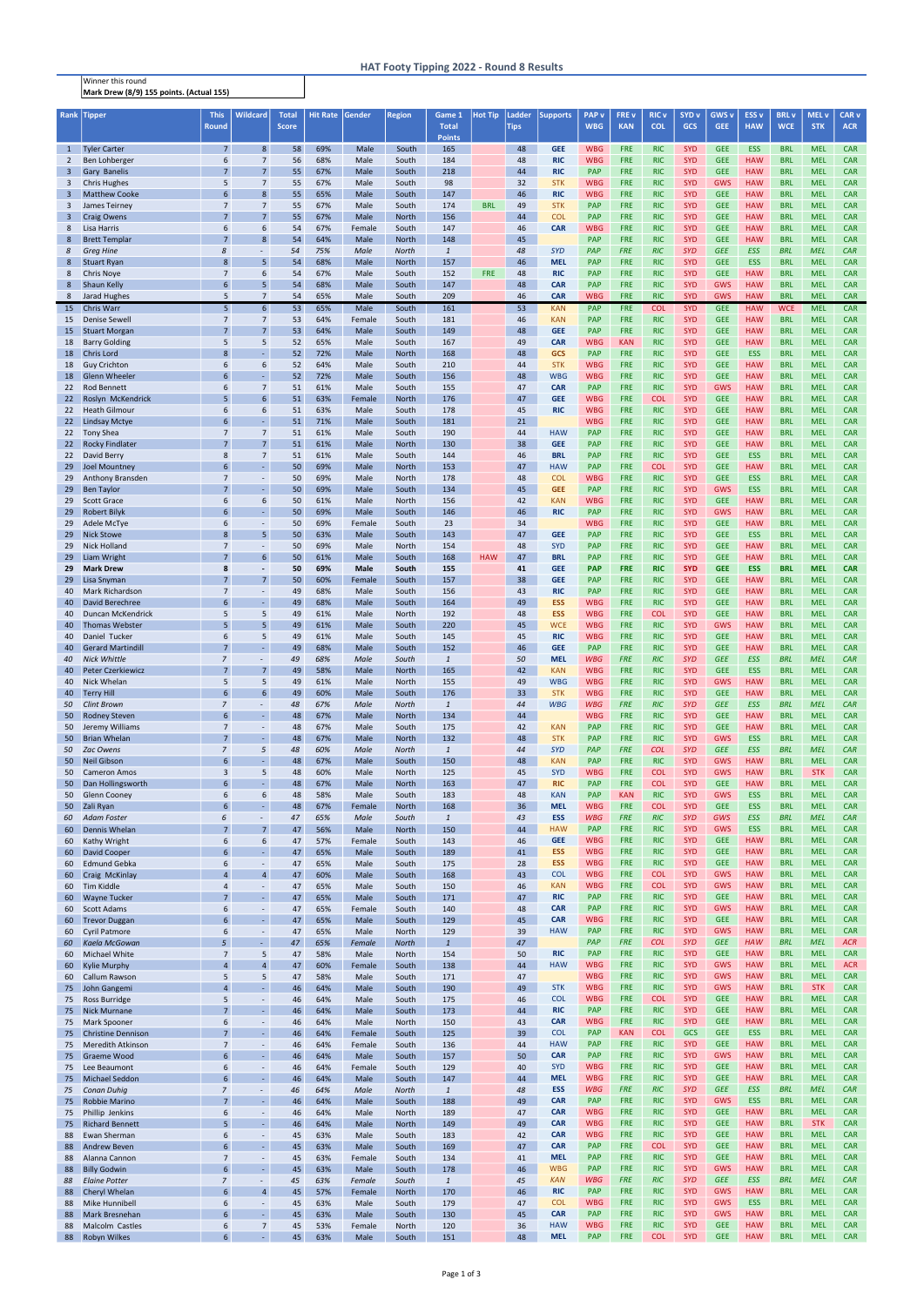Winner this round Mark Drew (8/9) 155 points. (Actual 155)

| Rank                           | <b>Tipper</b>                                   | <b>This</b><br><b>Round</b>      | <b>Wildcard</b>                    | <b>Total</b><br><b>Score</b> | Hit Rate Gender |                | <b>Region</b>         | Game 1<br><b>Total</b> | <b>Hot Tip</b> | Ladder<br><b>Tips</b> | <b>Supports</b>          | <b>PAP</b> v<br><b>WBG</b> | <b>FRE v</b><br><b>KAN</b> | <b>RIC v</b><br><b>COL</b> | SYD <sub>v</sub><br><b>GCS</b> | <b>GWS v</b><br>GEE:     | <b>ESS v</b><br><b>HAW</b> | <b>BRL</b> v<br><b>WCE</b> | <b>MEL v</b><br><b>STK</b> | CAR <sub>v</sub><br><b>ACR</b> |
|--------------------------------|-------------------------------------------------|----------------------------------|------------------------------------|------------------------------|-----------------|----------------|-----------------------|------------------------|----------------|-----------------------|--------------------------|----------------------------|----------------------------|----------------------------|--------------------------------|--------------------------|----------------------------|----------------------------|----------------------------|--------------------------------|
|                                |                                                 | $\overline{7}$                   | 8 <sup>°</sup>                     |                              |                 |                |                       | <b>Points</b>          |                |                       | <b>GEE</b>               | <b>WBG</b>                 | <b>FRE</b>                 | <b>RIC</b>                 | <b>SYD</b>                     | <b>GEE</b>               | <b>ESS</b>                 | <b>BRL</b>                 | <b>MEL</b>                 | <b>CAR</b>                     |
| $\mathbf{1}$<br>$\overline{2}$ | <b>Tyler Carter</b><br>Ben Lohberger            | 6                                | $\overline{7}$                     | 58<br>56                     | 69%<br>68%      | Male<br>Male   | South<br>South        | 165<br>184             |                | 48<br>48              | <b>RIC</b>               | <b>WBG</b>                 | <b>FRE</b>                 | <b>RIC</b>                 | <b>SYD</b>                     | <b>GEE</b>               | <b>HAW</b>                 | <b>BRL</b>                 | <b>MEL</b>                 | <b>CAR</b>                     |
| $\overline{3}$                 | Gary Banelis                                    | $\overline{7}$                   | $\overline{7}$                     | 55                           | 67%             | Male           | South                 | 218                    |                | 44                    | <b>RIC</b>               | <b>PAP</b>                 | <b>FRE</b>                 | <b>RIC</b>                 | <b>SYD</b>                     | <b>GEE</b>               | <b>HAW</b>                 | <b>BRL</b>                 | <b>MEL</b>                 | <b>CAR</b>                     |
| 3<br>3                         | <b>Chris Hughes</b><br><b>Matthew Cooke</b>     | 5<br>6                           | $\overline{7}$<br>8                | 55<br>55                     | 67%<br>65%      | Male<br>Male   | South<br>South        | 98<br>147              |                | 32<br>46              | <b>STK</b><br><b>RIC</b> | <b>WBG</b><br><b>WBG</b>   | <b>FRE</b><br><b>FRE</b>   | <b>RIC</b><br><b>RIC</b>   | <b>SYD</b><br><b>SYD</b>       | <b>GWS</b><br><b>GEE</b> | <b>HAW</b><br><b>HAW</b>   | <b>BRL</b><br><b>BRL</b>   | <b>MEL</b><br><b>MEL</b>   | <b>CAR</b><br><b>CAR</b>       |
| 3                              | James Teirney                                   | $\overline{7}$                   | $\overline{7}$                     | 55                           | 67%             | Male           | South                 | 174                    | <b>BRL</b>     | 49                    | <b>STK</b>               | <b>PAP</b>                 | <b>FRE</b>                 | <b>RIC</b>                 | <b>SYD</b>                     | <b>GEE</b>               | <b>HAW</b>                 | <b>BRL</b>                 | <b>MEL</b>                 | <b>CAR</b>                     |
| $\overline{3}$                 | <b>Craig Owens</b>                              | $\overline{7}$                   | $\overline{7}$                     | 55                           | 67%             | Male           | <b>North</b>          | 156                    |                | 44                    | <b>COL</b>               | <b>PAP</b>                 | <b>FRE</b>                 | <b>RIC</b>                 | <b>SYD</b>                     | <b>GEE</b>               | <b>HAW</b>                 | <b>BRL</b>                 | <b>MEL</b>                 | <b>CAR</b>                     |
| 8<br>8                         | Lisa Harris<br><b>Brett Templar</b>             | 6<br>7                           | 6<br>8                             | 54<br>54                     | 67%<br>64%      | Female<br>Male | South<br><b>North</b> | 147<br>148             |                | 46<br>45              | <b>CAR</b>               | <b>WBG</b><br>PAP          | <b>FRE</b><br><b>FRE</b>   | <b>RIC</b><br><b>RIC</b>   | <b>SYD</b><br><b>SYD</b>       | <b>GEE</b><br><b>GEE</b> | <b>HAW</b><br><b>HAW</b>   | <b>BRL</b><br><b>BRL</b>   | <b>MEL</b><br><b>MEL</b>   | <b>CAR</b><br><b>CAR</b>       |
| 8                              | <b>Greg Hine</b>                                | 8                                |                                    | 54                           | 75%             | Male           | North                 | $\it 1$                |                | 48                    | <b>SYD</b>               | PAP                        | <b>FRE</b>                 | <b>RIC</b>                 | <b>SYD</b>                     | <b>GEE</b>               | <b>ESS</b>                 | <b>BRL</b>                 | <b>MEL</b>                 | CAR                            |
| 8                              | <b>Stuart Ryan</b>                              | 8                                | 5                                  | 54                           | 68%             | Male           | <b>North</b>          | 157                    |                | 46                    | <b>MEL</b>               | PAP                        | <b>FRE</b>                 | <b>RIC</b>                 | <b>SYD</b>                     | <b>GEE</b>               | <b>ESS</b>                 | <b>BRL</b>                 | <b>MEL</b>                 | <b>CAR</b>                     |
| 8<br>8                         | <b>Chris Noye</b><br>Shaun Kelly                | $\overline{7}$<br>6              | 6<br>5                             | 54<br>54                     | 67%<br>68%      | Male<br>Male   | South<br>South        | 152<br>147             | <b>FRE</b>     | 48<br>48              | <b>RIC</b><br><b>CAR</b> | <b>PAP</b><br><b>PAP</b>   | <b>FRE</b><br><b>FRE</b>   | <b>RIC</b><br><b>RIC</b>   | <b>SYD</b><br><b>SYD</b>       | <b>GEE</b><br><b>GWS</b> | <b>HAW</b><br><b>HAW</b>   | <b>BRL</b><br><b>BRL</b>   | <b>MEL</b><br><b>MEL</b>   | <b>CAR</b><br><b>CAR</b>       |
| 8                              | Jarad Hughes                                    | 5                                | $\overline{7}$                     | 54                           | 65%             | Male           | South                 | 209                    |                | 46                    | <b>CAR</b>               | <b>WBG</b>                 | <b>FRE</b>                 | <b>RIC</b>                 | <b>SYD</b>                     | <b>GWS</b>               | <b>HAW</b>                 | <b>BRL</b>                 | <b>MEL</b>                 | <b>CAR</b>                     |
| 15                             | <b>Chris Warr</b>                               | 5                                | 6 <sup>1</sup>                     | 53                           | 65%             | Male           | South                 | 161                    |                | 53                    | <b>KAN</b>               | PAP                        | <b>FRE</b>                 | <b>COL</b>                 | <b>SYD</b>                     | <b>GEE</b>               | <b>HAW</b>                 | <b>WCE</b>                 | <b>MEL</b>                 | <b>CAR</b>                     |
| 15<br>15                       | <b>Denise Sewell</b><br><b>Stuart Morgan</b>    | $\overline{7}$<br>$\overline{7}$ | $\overline{7}$<br>$\overline{7}$   | 53<br>53                     | 64%<br>64%      | Female<br>Male | South<br>South        | 181<br>149             |                | 46<br>48              | <b>KAN</b><br><b>GEE</b> | <b>PAP</b><br>PAP          | <b>FRE</b><br><b>FRE</b>   | <b>RIC</b><br><b>RIC</b>   | <b>SYD</b><br><b>SYD</b>       | <b>GEE</b><br><b>GEE</b> | <b>HAW</b><br><b>HAW</b>   | <b>BRL</b><br><b>BRL</b>   | <b>MEL</b><br><b>MEL</b>   | <b>CAR</b><br><b>CAR</b>       |
| 18                             | <b>Barry Golding</b>                            | 5                                | 5                                  | 52                           | 65%             | Male           | South                 | 167                    |                | 49                    | <b>CAR</b>               | <b>WBG</b>                 | <b>KAN</b>                 | <b>RIC</b>                 | <b>SYD</b>                     | <b>GEE</b>               | <b>HAW</b>                 | <b>BRL</b>                 | <b>MEL</b>                 | <b>CAR</b>                     |
| 18                             | Chris Lord                                      | 8                                | L.                                 | 52                           | 72%             | Male           | <b>North</b>          | 168                    |                | 48                    | <b>GCS</b>               | <b>PAP</b>                 | <b>FRE</b>                 | <b>RIC</b>                 | <b>SYD</b>                     | <b>GEE</b>               | <b>ESS</b>                 | <b>BRL</b>                 | <b>MEL</b>                 | <b>CAR</b>                     |
| 18<br>18                       | <b>Guy Crichton</b><br><b>Glenn Wheeler</b>     | 6<br>6                           | 6<br>ä,                            | 52<br>52                     | 64%<br>72%      | Male<br>Male   | South<br>South        | 210<br>156             |                | 44<br>48              | <b>STK</b><br><b>WBG</b> | <b>WBG</b><br><b>WBG</b>   | <b>FRE</b><br><b>FRE</b>   | <b>RIC</b><br><b>RIC</b>   | <b>SYD</b><br><b>SYD</b>       | <b>GEE</b><br><b>GEE</b> | <b>HAW</b><br><b>HAW</b>   | <b>BRL</b><br><b>BRL</b>   | <b>MEL</b><br><b>MEL</b>   | <b>CAR</b><br><b>CAR</b>       |
| 22                             | <b>Rod Bennett</b>                              | 6                                | $\overline{7}$                     | 51                           | 61%             | Male           | South                 | 155                    |                | 47                    | <b>CAR</b>               | PAP                        | <b>FRE</b>                 | <b>RIC</b>                 | <b>SYD</b>                     | <b>GWS</b>               | <b>HAW</b>                 | <b>BRL</b>                 | <b>MEL</b>                 | <b>CAR</b>                     |
| 22 <sub>2</sub><br>22          | Roslyn McKendrick<br><b>Heath Gilmour</b>       | 5<br>6                           | 6<br>6                             | 51<br>51                     | 63%<br>63%      | Female<br>Male | <b>North</b><br>South | 176<br>178             |                | 47<br>45              | <b>GEE</b><br><b>RIC</b> | <b>WBG</b><br><b>WBG</b>   | <b>FRE</b><br><b>FRE</b>   | <b>COL</b><br><b>RIC</b>   | <b>SYD</b><br><b>SYD</b>       | <b>GEE</b><br><b>GEE</b> | <b>HAW</b><br><b>HAW</b>   | <b>BRL</b><br><b>BRL</b>   | <b>MEL</b><br><b>MEL</b>   | <b>CAR</b><br><b>CAR</b>       |
| 22                             | <b>Lindsay Mctye</b>                            | 6                                |                                    | 51                           | 71%             | Male           | South                 | 181                    |                | 21                    |                          | <b>WBG</b>                 | <b>FRE</b>                 | <b>RIC</b>                 | <b>SYD</b>                     | <b>GEE</b>               | <b>HAW</b>                 | <b>BRL</b>                 | <b>MEL</b>                 | <b>CAR</b>                     |
| 22                             | <b>Tony Shea</b>                                | $\overline{7}$                   | $\overline{7}$                     | 51                           | 61%             | Male           | South                 | 190                    |                | 44                    | <b>HAW</b>               | <b>PAP</b>                 | <b>FRE</b>                 | <b>RIC</b>                 | <b>SYD</b>                     | <b>GEE</b>               | <b>HAW</b>                 | <b>BRL</b>                 | <b>MEL</b>                 | <b>CAR</b>                     |
| 22 <sub>2</sub><br>22          | <b>Rocky Findlater</b><br>David Berry           | $\overline{7}$<br>8              | $\overline{7}$<br>$\overline{7}$   | 51<br>51                     | 61%<br>61%      | Male<br>Male   | <b>North</b><br>South | 130<br>144             |                | 38<br>46              | <b>GEE</b><br><b>BRL</b> | <b>PAP</b><br><b>PAP</b>   | <b>FRE</b><br><b>FRE</b>   | <b>RIC</b><br><b>RIC</b>   | <b>SYD</b><br><b>SYD</b>       | <b>GEE</b><br><b>GEE</b> | <b>HAW</b><br><b>ESS</b>   | <b>BRL</b><br><b>BRL</b>   | <b>MEL</b><br><b>MEL</b>   | <b>CAR</b><br><b>CAR</b>       |
| 29                             | <b>Joel Mountney</b>                            | 6                                |                                    | 50                           | 69%             | Male           | <b>North</b>          | 153                    |                | 47                    | <b>HAW</b>               | <b>PAP</b>                 | <b>FRE</b>                 | <b>COL</b>                 | <b>SYD</b>                     | <b>GEE</b>               | <b>HAW</b>                 | <b>BRL</b>                 | <b>MEL</b>                 | <b>CAR</b>                     |
| 29                             | Anthony Bransden                                | $\overline{7}$                   | $\blacksquare$                     | 50                           | 69%             | Male           | North                 | 178                    |                | 48                    | <b>COL</b>               | <b>WBG</b>                 | <b>FRE</b>                 | <b>RIC</b>                 | <b>SYD</b>                     | <b>GEE</b>               | <b>ESS</b>                 | <b>BRL</b>                 | <b>MEL</b>                 | <b>CAR</b>                     |
| 29<br>29                       | <b>Ben Taylor</b><br><b>Scott Grace</b>         | 7<br>6                           | 6                                  | 50<br>50                     | 69%<br>61%      | Male<br>Male   | South<br>North        | 134<br>156             |                | 45<br>42              | <b>GEE</b><br><b>KAN</b> | <b>PAP</b><br><b>WBG</b>   | <b>FRE</b><br><b>FRE</b>   | <b>RIC</b><br><b>RIC</b>   | <b>SYD</b><br><b>SYD</b>       | <b>GWS</b><br><b>GEE</b> | <b>ESS</b><br><b>HAW</b>   | <b>BRL</b><br><b>BRL</b>   | <b>MEL</b><br><b>MEL</b>   | <b>CAR</b><br><b>CAR</b>       |
| 29                             | <b>Robert Bilyk</b>                             |                                  |                                    | 50                           | 69%             | Male           | South                 | 146                    |                | 46                    | <b>RIC</b>               | PAP                        | <b>FRE</b>                 | <b>RIC</b>                 | <b>SYD</b>                     | <b>GWS</b>               | <b>HAW</b>                 | <b>BRL</b>                 | <b>MEL</b>                 | <b>CAR</b>                     |
| 29                             | Adele McTye                                     | 6                                | $\overline{\phantom{a}}$           | 50                           | 69%             | Female         | South                 | 23                     |                | 34                    |                          | <b>WBG</b>                 | <b>FRE</b>                 | <b>RIC</b>                 | <b>SYD</b>                     | <b>GEE</b>               | <b>HAW</b>                 | <b>BRL</b>                 | <b>MEL</b>                 | <b>CAR</b>                     |
| 29<br>29                       | <b>Nick Stowe</b><br><b>Nick Holland</b>        | 8<br>$\overline{7}$              | 5                                  | 50<br>50                     | 63%<br>69%      | Male<br>Male   | South<br><b>North</b> | 143<br>154             |                | 47<br>48              | <b>GEE</b><br><b>SYD</b> | <b>PAP</b><br><b>PAP</b>   | <b>FRE</b><br><b>FRE</b>   | <b>RIC</b><br><b>RIC</b>   | <b>SYD</b><br><b>SYD</b>       | <b>GEE</b><br><b>GEE</b> | <b>ESS</b><br><b>HAW</b>   | <b>BRL</b><br><b>BRL</b>   | <b>MEL</b><br><b>MEL</b>   | <b>CAR</b><br><b>CAR</b>       |
| 29                             | Liam Wright                                     |                                  | 6                                  | 50                           | 61%             | Male           | South                 | 168                    | <b>HAW</b>     | 47                    | <b>BRL</b>               | <b>PAP</b>                 | <b>FRE</b>                 | <b>RIC</b>                 | <b>SYD</b>                     | <b>GEE</b>               | <b>HAW</b>                 | <b>BRL</b>                 | <b>MEL</b>                 | <b>CAR</b>                     |
| 29                             | <b>Mark Drew</b>                                | 8                                |                                    | 50                           | 69%             | <b>Male</b>    | South                 | 155                    |                | 41                    | <b>GEE</b>               | <b>PAP</b>                 | <b>FRE</b>                 | <b>RIC</b>                 | <b>SYD</b>                     | <b>GEE</b>               | <b>ESS</b>                 | <b>BRL</b>                 | <b>MEL</b>                 | <b>CAR</b>                     |
| 29<br>40                       | Lisa Snyman<br><b>Mark Richardson</b>           | $\overline{7}$                   | $\overline{7}$                     | 50<br>49                     | 60%<br>68%      | Female<br>Male | South<br>South        | 157<br>156             |                | 38<br>43              | <b>GEE</b><br><b>RIC</b> | <b>PAP</b><br><b>PAP</b>   | <b>FRE</b><br><b>FRE</b>   | <b>RIC</b><br><b>RIC</b>   | <b>SYD</b><br><b>SYD</b>       | <b>GEE</b><br><b>GEE</b> | <b>HAW</b><br><b>HAW</b>   | <b>BRL</b><br><b>BRL</b>   | <b>MEL</b><br><b>MEL</b>   | <b>CAR</b><br><b>CAR</b>       |
|                                | 40 David Berechree                              | $\mathsf{G}$                     |                                    | 49                           | 68%             | Male           | South                 | 164                    |                | 49                    | <b>ESS</b>               | <b>WBG</b>                 | <b>FRE</b>                 | <b>RIC</b>                 | <b>SYD</b>                     | <b>GEE</b>               | <b>HAW</b>                 | <b>BRL</b>                 | <b>MEL</b>                 | <b>CAR</b>                     |
| 40                             | Duncan McKendrick                               | 5                                | 5                                  | 49                           | 61%             | Male           | North                 | 192                    |                | 48                    | <b>ESS</b>               | <b>WBG</b>                 | <b>FRE</b>                 | <b>COL</b>                 | <b>SYD</b>                     | <b>GEE</b>               | <b>HAW</b>                 | <b>BRL</b>                 | <b>MEL</b>                 | <b>CAR</b>                     |
| 40<br>40                       | <b>Thomas Webster</b><br>Daniel Tucker          | 5<br>6                           | 5<br>5                             | 49<br>49                     | 61%<br>61%      | Male<br>Male   | South<br>South        | 220<br>145             |                | 45<br>45              | <b>WCE</b><br><b>RIC</b> | <b>WBG</b><br><b>WBG</b>   | <b>FRE</b><br><b>FRE</b>   | <b>RIC</b><br><b>RIC</b>   | <b>SYD</b><br><b>SYD</b>       | <b>GWS</b><br><b>GEE</b> | <b>HAW</b><br><b>HAW</b>   | <b>BRL</b><br><b>BRL</b>   | <b>MEL</b><br><b>MEL</b>   | <b>CAR</b><br><b>CAR</b>       |
| 40                             | <b>Gerard Martindill</b>                        | $\overline{7}$                   |                                    | 49                           | 68%             | Male           | South                 | 152                    |                | 46                    | <b>GEE</b>               | <b>PAP</b>                 | <b>FRE</b>                 | <b>RIC</b>                 | <b>SYD</b>                     | <b>GEE</b>               | <b>HAW</b>                 | <b>BRL</b>                 | <b>MEL</b>                 | <b>CAR</b>                     |
| 40<br>40                       | <b>Nick Whittle</b><br><b>Peter Czerkiewicz</b> | $\overline{z}$<br>$\overline{7}$ | $\overline{7}$                     | 49<br>49                     | 68%<br>58%      | Male<br>Male   | South<br>North        | $\mathbf{1}$<br>165    |                | 50<br>42              | <b>MEL</b><br><b>KAN</b> | <b>WBG</b><br><b>WBG</b>   | <b>FRE</b><br><b>FRE</b>   | <b>RIC</b><br><b>RIC</b>   | <b>SYD</b><br><b>SYD</b>       | <b>GEE</b><br><b>GEE</b> | <b>ESS</b><br><b>ESS</b>   | <b>BRL</b><br><b>BRL</b>   | <b>MEL</b><br><b>MEL</b>   | CAR<br><b>CAR</b>              |
| 40                             | Nick Whelan                                     | 5                                | 5                                  | 49                           | 61%             | Male           | North                 | 155                    |                | 49                    | <b>WBG</b>               | <b>WBG</b>                 | <b>FRE</b>                 | <b>RIC</b>                 | <b>SYD</b>                     | <b>GWS</b>               | <b>HAW</b>                 | <b>BRL</b>                 | <b>MEL</b>                 | <b>CAR</b>                     |
| 40                             | <b>Terry Hill</b>                               | 6                                | 6                                  | 49                           | 60%             | Male           | South                 | 176                    |                | 33                    | <b>STK</b>               | <b>WBG</b>                 | <b>FRE</b>                 | <b>RIC</b>                 | <b>SYD</b>                     | <b>GEE</b>               | <b>HAW</b>                 | <b>BRL</b>                 | <b>MEL</b>                 | <b>CAR</b>                     |
| 50<br>50                       | <b>Clint Brown</b><br><b>Rodney Steven</b>      | $\overline{z}$<br>6              | ÷.                                 | 48<br>48                     | 67%<br>67%      | Male<br>Male   | North<br><b>North</b> | $\mathbf{1}$<br>134    |                | 44<br>44              | <b>WBG</b>               | <b>WBG</b><br><b>WBG</b>   | <b>FRE</b><br><b>FRE</b>   | <b>RIC</b><br><b>RIC</b>   | <b>SYD</b><br><b>SYD</b>       | <b>GEE</b><br><b>GEE</b> | <b>ESS</b><br><b>HAW</b>   | <b>BRL</b><br><b>BRL</b>   | <b>MEL</b><br><b>MEL</b>   | CAR<br><b>CAR</b>              |
| 50                             | Jeremy Williams                                 | $\overline{7}$                   | $\overline{\phantom{a}}$           | 48                           | 67%             | Male           | South                 | 175                    |                | 42                    | <b>KAN</b>               | <b>PAP</b>                 | <b>FRE</b>                 | <b>RIC</b>                 | <b>SYD</b>                     | <b>GEE</b>               | <b>HAW</b>                 | <b>BRL</b>                 | <b>MEL</b>                 | <b>CAR</b>                     |
| 50                             | <b>Brian Whelan</b>                             | $\overline{7}$                   | ÷.                                 | 48                           | 67%             | Male           | <b>North</b>          | 132                    |                | 48                    | <b>STK</b>               | PAP                        | <b>FRE</b>                 | <b>RIC</b>                 | <b>SYD</b>                     | <b>GWS</b>               | <b>ESS</b>                 | <b>BRL</b>                 | <b>MEL</b>                 | <b>CAR</b>                     |
| 50<br>50                       | Zac Owens<br><b>Neil Gibson</b>                 | $\overline{z}$<br>6              | 5                                  | 48<br>48                     | 60%<br>67%      | Male<br>Male   | North<br>South        | $\mathbf{1}$<br>150    |                | 44<br>48              | <b>SYD</b><br><b>KAN</b> | PAP<br><b>PAP</b>          | <b>FRE</b><br><b>FRE</b>   | <b>COL</b><br><b>RIC</b>   | <b>SYD</b><br><b>SYD</b>       | <b>GEE</b><br><b>GWS</b> | <b>ESS</b><br><b>HAW</b>   | <b>BRL</b><br><b>BRL</b>   | <b>MEL</b><br><b>MEL</b>   | CAR<br><b>CAR</b>              |
| 50                             | <b>Cameron Amos</b>                             | $\overline{3}$                   | 5                                  | 48                           | 60%             | Male           | North                 | 125                    |                | 45                    | <b>SYD</b>               | <b>WBG</b>                 | <b>FRE</b>                 | <b>COL</b>                 | <b>SYD</b>                     | <b>GWS</b>               | <b>HAW</b>                 | <b>BRL</b>                 | <b>STK</b>                 | <b>CAR</b>                     |
| 50                             | Dan Hollingsworth                               | 6<br>6                           | 6                                  | 48                           | 67%<br>58%      | Male           | <b>North</b>          | 163<br>183             |                | 47<br>48              | <b>RIC</b><br><b>KAN</b> | <b>PAP</b>                 | <b>FRE</b><br><b>KAN</b>   | <b>COL</b>                 | <b>SYD</b><br><b>SYD</b>       | <b>GEE</b>               | <b>HAW</b>                 | <b>BRL</b><br><b>BRL</b>   | <b>MEL</b><br><b>MEL</b>   | <b>CAR</b><br><b>CAR</b>       |
| 50<br>50                       | <b>Glenn Cooney</b><br>Zali Ryan                | 6                                | $\omega$                           | 48<br>48                     | 67%             | Male<br>Female | South<br><b>North</b> | 168                    |                | 36                    | <b>MEL</b>               | PAP<br><b>WBG</b>          | <b>FRE</b>                 | <b>RIC</b><br><b>COL</b>   | <b>SYD</b>                     | <b>GWS</b><br><b>GEE</b> | <b>ESS</b><br><b>ESS</b>   | <b>BRL</b>                 | <b>MEL</b>                 | <b>CAR</b>                     |
| 60                             | <b>Adam Foster</b>                              | 6                                |                                    | 47                           | 65%             | Male           | South                 | $\mathbf{1}$           |                | 43                    | <b>ESS</b>               | <b>WBG</b>                 | <b>FRE</b>                 | <b>RIC</b>                 | <b>SYD</b>                     | GWS                      | <b>ESS</b>                 | <b>BRL</b>                 | <b>MEL</b>                 | CAR                            |
| 60<br>60                       | Dennis Whelan<br>Kathy Wright                   | 7<br>6                           | $\overline{7}$<br>6                | 47<br>47                     | 56%<br>57%      | Male<br>Female | <b>North</b><br>South | 150<br>143             |                | 44<br>46              | <b>HAW</b><br><b>GEE</b> | <b>PAP</b><br><b>WBG</b>   | <b>FRE</b><br><b>FRE</b>   | <b>RIC</b><br><b>RIC</b>   | <b>SYD</b><br><b>SYD</b>       | <b>GWS</b><br><b>GEE</b> | <b>ESS</b><br><b>HAW</b>   | <b>BRL</b><br><b>BRL</b>   | <b>MEL</b><br><b>MEL</b>   | <b>CAR</b><br><b>CAR</b>       |
| 60                             | <b>David Cooper</b>                             |                                  |                                    | 47                           | 65%             | Male           | South                 | 189                    |                | 41                    | <b>ESS</b>               | <b>WBG</b>                 | <b>FRE</b>                 | <b>RIC</b>                 | <b>SYD</b>                     | <b>GEE</b>               | <b>HAW</b>                 | <b>BRL</b>                 | <b>MEL</b>                 | <b>CAR</b>                     |
| 60                             | <b>Edmund Gebka</b>                             | 6                                | $\overline{\phantom{0}}$           | 47                           | 65%             | Male           | South                 | 175                    |                | 28                    | <b>ESS</b>               | <b>WBG</b>                 | <b>FRE</b>                 | <b>RIC</b>                 | <b>SYD</b>                     | <b>GEE</b>               | <b>HAW</b>                 | <b>BRL</b>                 | <b>MEL</b>                 | <b>CAR</b>                     |
| 60<br>60                       | Craig McKinlay<br><b>Tim Kiddle</b>             | 4                                | $\overline{a}$                     | 47<br>47                     | 60%<br>65%      | Male<br>Male   | South<br>South        | 168<br>150             |                | 43<br>46              | <b>COL</b><br><b>KAN</b> | <b>WBG</b><br><b>WBG</b>   | <b>FRE</b><br><b>FRE</b>   | <b>COL</b><br><b>COL</b>   | <b>SYD</b><br><b>SYD</b>       | <b>GWS</b><br><b>GWS</b> | <b>HAW</b><br><b>HAW</b>   | <b>BRL</b><br><b>BRL</b>   | <b>MEL</b><br><b>MEL</b>   | <b>CAR</b><br><b>CAR</b>       |
| 60                             | <b>Wayne Tucker</b>                             | 7                                |                                    | 47                           | 65%             | Male           | South                 | 171                    |                | 47                    | <b>RIC</b>               | <b>PAP</b>                 | <b>FRE</b>                 | <b>RIC</b>                 | <b>SYD</b>                     | <b>GEE</b>               | <b>HAW</b>                 | <b>BRL</b>                 | <b>MEL</b>                 | <b>CAR</b>                     |
| 60                             | <b>Scott Adams</b>                              | 6<br>6                           | $\overline{\phantom{a}}$           | 47                           | 65%<br>65%      | Female         | South                 | 140<br>129             |                | 48                    | <b>CAR</b><br><b>CAR</b> | <b>PAP</b><br><b>WBG</b>   | <b>FRE</b><br><b>FRE</b>   | <b>RIC</b><br><b>RIC</b>   | <b>SYD</b><br><b>SYD</b>       | <b>GWS</b><br><b>GEE</b> | <b>HAW</b><br><b>HAW</b>   | <b>BRL</b><br><b>BRL</b>   | <b>MEL</b><br><b>MEL</b>   | <b>CAR</b><br><b>CAR</b>       |
| 60<br>60                       | <b>Trevor Duggan</b><br><b>Cyril Patmore</b>    | 6                                | $\overline{\phantom{a}}$           | 47<br>47                     | 65%             | Male<br>Male   | South<br>North        | 129                    |                | 45<br>39              | <b>HAW</b>               | <b>PAP</b>                 | <b>FRE</b>                 | <b>RIC</b>                 | <b>SYD</b>                     | <b>GWS</b>               | <b>HAW</b>                 | <b>BRL</b>                 | <b>MEL</b>                 | <b>CAR</b>                     |
| 60                             | Kaela McGowan                                   | 5                                |                                    | 47                           | 65%             | Female         | <b>North</b>          | $\overline{1}$         |                | 47                    |                          | PAP                        | <b>FRE</b>                 | <b>COL</b>                 | <b>SYD</b>                     | <b>GEE</b>               | <b>HAW</b>                 | <b>BRL</b>                 | <b>MEL</b>                 | <b>ACR</b>                     |
| 60<br>60                       | Michael White<br><b>Kylie Murphy</b>            | $\overline{7}$<br>$\overline{4}$ | 5<br>$\overline{a}$                | 47<br>47                     | 58%<br>60%      | Male<br>Female | North<br>South        | 154<br>138             |                | 50<br>44              | <b>RIC</b><br><b>HAW</b> | <b>PAP</b><br><b>WBG</b>   | <b>FRE</b><br><b>FRE</b>   | <b>RIC</b><br><b>RIC</b>   | <b>SYD</b><br><b>SYD</b>       | <b>GEE</b><br><b>GWS</b> | <b>HAW</b><br><b>HAW</b>   | <b>BRL</b><br><b>BRL</b>   | <b>MEL</b><br><b>MEL</b>   | <b>CAR</b><br><b>ACR</b>       |
| 60                             | Callum Rawson                                   | 5                                | 5                                  | 47                           | 58%             | Male           | South                 | 171                    |                | 47                    |                          | <b>WBG</b>                 | <b>FRE</b>                 | <b>RIC</b>                 | <b>SYD</b>                     | <b>GWS</b>               | <b>HAW</b>                 | <b>BRL</b>                 | <b>MEL</b>                 | <b>CAR</b>                     |
| 75                             | John Gangemi                                    | $\overline{4}$                   |                                    | 46                           | 64%             | Male           | South                 | 190                    |                | 49                    | <b>STK</b>               | <b>WBG</b>                 | <b>FRE</b>                 | <b>RIC</b>                 | <b>SYD</b>                     | <b>GWS</b>               | <b>HAW</b>                 | <b>BRL</b>                 | <b>STK</b>                 | <b>CAR</b>                     |
| 75<br>75                       | Ross Burridge<br><b>Nick Murnane</b>            | 5<br>$\overline{7}$              | $\overline{\phantom{a}}$<br>÷.     | 46<br>46                     | 64%<br>64%      | Male<br>Male   | South<br>South        | 175<br>173             |                | 46<br>44              | <b>COL</b><br><b>RIC</b> | <b>WBG</b><br><b>PAP</b>   | <b>FRE</b><br><b>FRE</b>   | <b>COL</b><br><b>RIC</b>   | <b>SYD</b><br><b>SYD</b>       | <b>GEE</b><br><b>GEE</b> | <b>HAW</b><br><b>HAW</b>   | <b>BRL</b><br><b>BRL</b>   | <b>MEL</b><br><b>MEL</b>   | <b>CAR</b><br><b>CAR</b>       |
| 75                             | <b>Mark Spooner</b>                             | 6                                | $\overline{\phantom{a}}$           | 46                           | 64%             | Male           | <b>North</b>          | 150                    |                | 43                    | <b>CAR</b>               | <b>WBG</b>                 | <b>FRE</b>                 | <b>RIC</b>                 | <b>SYD</b>                     | <b>GEE</b>               | <b>HAW</b>                 | <b>BRL</b>                 | <b>MEL</b>                 | <b>CAR</b>                     |
| 75                             | <b>Christine Dennison</b>                       |                                  |                                    | 46                           | 64%             | Female         | South                 | 125                    |                | 39                    | <b>COL</b>               | <b>PAP</b>                 | <b>KAN</b>                 | <b>COL</b>                 | GCS                            | <b>GEE</b>               | <b>ESS</b>                 | <b>BRL</b>                 | <b>MEL</b>                 | <b>CAR</b>                     |
| 75<br>75                       | <b>Meredith Atkinson</b><br><b>Graeme Wood</b>  | $\overline{7}$<br>6              | $\overline{\phantom{a}}$           | 46<br>46                     | 64%<br>64%      | Female<br>Male | South<br>South        | 136<br>157             |                | 44<br>50              | <b>HAW</b><br><b>CAR</b> | <b>PAP</b><br><b>PAP</b>   | <b>FRE</b><br><b>FRE</b>   | <b>RIC</b><br><b>RIC</b>   | <b>SYD</b><br><b>SYD</b>       | <b>GEE</b><br><b>GWS</b> | <b>HAW</b><br><b>HAW</b>   | <b>BRL</b><br><b>BRL</b>   | <b>MEL</b><br><b>MEL</b>   | <b>CAR</b><br><b>CAR</b>       |
| 75                             | Lee Beaumont                                    | 6                                | $\overline{\phantom{a}}$           | 46                           | 64%             | Female         | South                 | 129                    |                | 40                    | <b>SYD</b>               | <b>WBG</b>                 | <b>FRE</b>                 | <b>RIC</b>                 | <b>SYD</b>                     | <b>GEE</b>               | <b>HAW</b>                 | <b>BRL</b>                 | <b>MEL</b>                 | <b>CAR</b>                     |
| 75                             | <b>Michael Seddon</b><br>75 Conan Duhig         | 6<br>$\overline{7}$              |                                    | 46<br>46                     | 64%<br>64%      | Male<br>Male   | South<br><b>North</b> | 147<br>$\mathbf{1}$    |                | 44<br>48              | <b>MEL</b><br><b>ESS</b> | <b>WBG</b><br><b>WBG</b>   | <b>FRE</b><br><b>FRE</b>   | <b>RIC</b><br><b>RIC</b>   | <b>SYD</b><br><b>SYD</b>       | <b>GEE</b><br><b>GEE</b> | <b>HAW</b><br><b>ESS</b>   | <b>BRL</b><br><b>BRL</b>   | <b>MEL</b><br><b>MEL</b>   | <b>CAR</b><br><b>CAR</b>       |
| 75                             | Robbie Marino                                   | $\overline{7}$                   | $\sim$                             | 46                           | 64%             | Male           | South                 | 188                    |                | 49                    | <b>CAR</b>               | <b>PAP</b>                 | <b>FRE</b>                 | <b>RIC</b>                 | <b>SYD</b>                     | <b>GWS</b>               | <b>ESS</b>                 | <b>BRL</b>                 | <b>MEL</b>                 | <b>CAR</b>                     |
| 75                             | Phillip Jenkins                                 | 6                                | $\overline{\phantom{a}}$           | 46                           | 64%             | Male           | North                 | 189                    |                | 47                    | <b>CAR</b>               | <b>WBG</b>                 | <b>FRE</b>                 | <b>RIC</b>                 | <b>SYD</b>                     | <b>GEE</b>               | <b>HAW</b>                 | <b>BRL</b>                 | <b>MEL</b>                 | <b>CAR</b>                     |
| 75<br>88                       | <b>Richard Bennett</b><br>Ewan Sherman          | 5<br>6                           | $\omega_{\rm c}$<br>$\sim$         | 46<br>45                     | 64%<br>63%      | Male<br>Male   | North<br>South        | 149<br>183             |                | 49<br>42              | <b>CAR</b><br><b>CAR</b> | <b>WBG</b><br><b>WBG</b>   | <b>FRE</b><br><b>FRE</b>   | <b>RIC</b><br><b>RIC</b>   | <b>SYD</b><br><b>SYD</b>       | <b>GEE</b><br><b>GEE</b> | <b>HAW</b><br><b>HAW</b>   | <b>BRL</b><br><b>BRL</b>   | <b>STK</b><br><b>MEL</b>   | <b>CAR</b><br><b>CAR</b>       |
| 88                             | <b>Andrew Beven</b>                             | 6                                | $\omega_{\rm c}$                   | 45                           | 63%             | Male           | South                 | 169                    |                | 47                    | <b>CAR</b>               | <b>PAP</b>                 | <b>FRE</b>                 | <b>COL</b>                 | <b>SYD</b>                     | <b>GEE</b>               | <b>HAW</b>                 | <b>BRL</b>                 | <b>MEL</b>                 | <b>CAR</b>                     |
| 88                             | Alanna Cannon                                   | $\overline{7}$                   | $\sim$                             | 45                           | 63%             | Female         | South                 | 134                    |                | 41                    | <b>MEL</b>               | <b>PAP</b>                 | <b>FRE</b>                 | <b>RIC</b>                 | <b>SYD</b>                     | <b>GEE</b>               | <b>HAW</b>                 | <b>BRL</b>                 | <b>MEL</b>                 | <b>CAR</b>                     |
| 88<br>88                       | <b>Billy Godwin</b><br><b>Elaine Potter</b>     | $6\phantom{1}$<br>$\overline{7}$ | $\omega$<br>$\sim$                 | 45<br>45                     | 63%<br>63%      | Male<br>Female | South<br>South        | 178<br>$\mathbf{1}$    |                | 46<br>45              | <b>WBG</b><br><b>KAN</b> | PAP<br><b>WBG</b>          | <b>FRE</b><br><b>FRE</b>   | <b>RIC</b><br><b>RIC</b>   | <b>SYD</b><br><b>SYD</b>       | <b>GWS</b><br><b>GEE</b> | <b>HAW</b><br><b>ESS</b>   | <b>BRL</b><br><b>BRL</b>   | <b>MEL</b><br><b>MEL</b>   | <b>CAR</b><br>CAR              |
| 88                             | Cheryl Whelan                                   | $6\phantom{1}$                   | $\overline{4}$                     | 45                           | 57%             | Female         | North                 | 170                    |                | 46                    | <b>RIC</b>               | <b>PAP</b>                 | <b>FRE</b>                 | <b>RIC</b>                 | <b>SYD</b>                     | <b>GWS</b>               | <b>HAW</b>                 | <b>BRL</b>                 | <b>MEL</b>                 | <b>CAR</b>                     |
| 88                             | <b>Mike Hunnibell</b>                           | 6                                | $\overline{\phantom{a}}$           | 45                           | 63%             | Male           | South                 | 179                    |                | 47                    | <b>COL</b>               | <b>WBG</b>                 | <b>FRE</b>                 | <b>RIC</b>                 | <b>SYD</b>                     | <b>GWS</b>               | <b>ESS</b>                 | <b>BRL</b>                 | <b>MEL</b>                 | <b>CAR</b>                     |
| 88<br>88                       | <b>Mark Bresnehan</b><br>Malcolm Castles        | 6<br>6                           | $\omega_{\rm c}$<br>$\overline{7}$ | 45<br>45                     | 63%<br>53%      | Male<br>Female | South<br>North        | 130<br>120             |                | 45<br>36              | <b>CAR</b><br><b>HAW</b> | <b>PAP</b><br><b>WBG</b>   | <b>FRE</b><br><b>FRE</b>   | <b>RIC</b><br><b>RIC</b>   | <b>SYD</b><br><b>SYD</b>       | <b>GWS</b><br><b>GEE</b> | <b>HAW</b><br><b>HAW</b>   | <b>BRL</b><br><b>BRL</b>   | <b>MEL</b><br><b>MEL</b>   | <b>CAR</b><br><b>CAR</b>       |
|                                | 88 Robyn Wilkes                                 | 6                                | $\omega$ .                         | 45                           | 63%             | Male           | South                 | 151                    |                | 48                    | <b>MEL</b>               | <b>PAP</b>                 | <b>FRE</b>                 | <b>COL</b>                 | <b>SYD</b>                     | <b>GEE</b>               | <b>HAW</b>                 | <b>BRL</b>                 | <b>MEL</b>                 | <b>CAR</b>                     |

## HAT Footy Tipping 2022 - Round 8 Results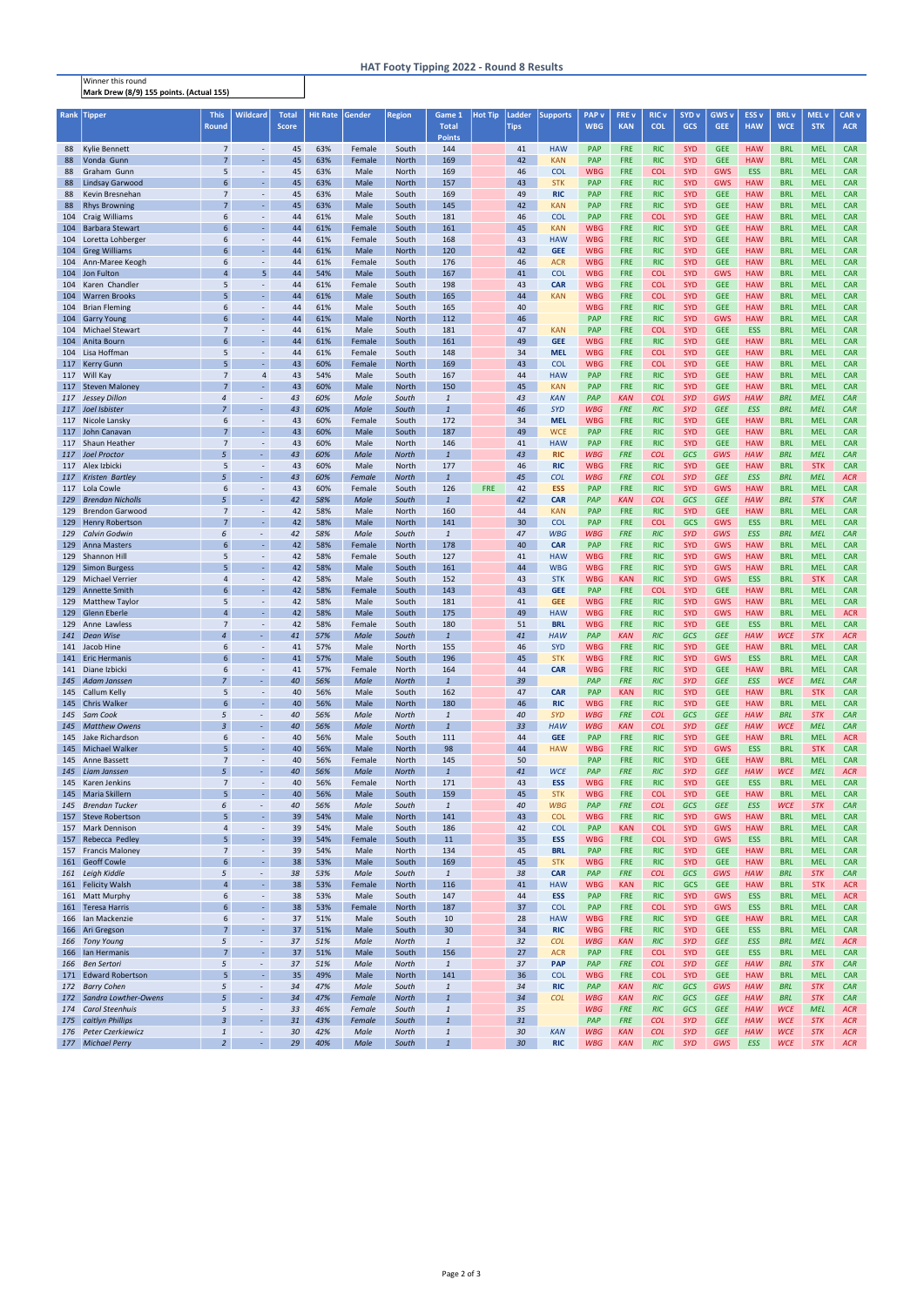Winner this round Mark Drew (8/9) 155 points. (Actual 155)

## HAT Footy Tipping 2022 - Round 8 Results

| Rank       | Tipper                                           | <b>This</b>                      | <b>Wildcard</b>                      | Total        | <b>Hit Rate</b> | Gender           | <b>Region</b>                | Game 1                         | <b>Hot Tip</b> | Ladder      | <b>Supports</b>          | <b>PAP</b> v             | <b>FREV</b>              | <b>RIC</b> v             | SYD <sub>v</sub>         | <b>GWS v</b>             | ESS <sub>v</sub>         | <b>BRL</b> v             | MEL <sub>V</sub>         | CAR <sub>v</sub>         |
|------------|--------------------------------------------------|----------------------------------|--------------------------------------|--------------|-----------------|------------------|------------------------------|--------------------------------|----------------|-------------|--------------------------|--------------------------|--------------------------|--------------------------|--------------------------|--------------------------|--------------------------|--------------------------|--------------------------|--------------------------|
|            |                                                  | <b>Round</b>                     |                                      | <b>Score</b> |                 |                  |                              | <b>Total</b><br><b>Points</b>  |                | <b>Tips</b> |                          | <b>WBG</b>               | <b>KAN</b>               | <b>COL</b>               | <b>GCS</b>               | <b>GEE</b>               | <b>HAW</b>               | <b>WCE</b>               | <b>STK</b>               | <b>ACR</b>               |
| 88         | Kylie Bennett                                    | $\overline{7}$                   | $\sim$                               | 45           | 63%             | Female           | South                        | 144                            |                | 41          | <b>HAW</b>               | <b>PAP</b>               | <b>FRE</b>               | <b>RIC</b>               | <b>SYD</b>               | <b>GEE</b>               | <b>HAW</b>               | <b>BRL</b>               | <b>MEL</b>               | <b>CAR</b>               |
| 88         | Vonda Gunn                                       | $\overline{7}$                   | $\omega$                             | 45           | 63%             | Female           | <b>North</b>                 | 169                            |                | 42          | <b>KAN</b>               | <b>PAP</b>               | <b>FRE</b>               | <b>RIC</b>               | <b>SYD</b>               | <b>GEE</b>               | <b>HAW</b>               | <b>BRL</b>               | <b>MEL</b>               | <b>CAR</b>               |
| 88         | Graham Gunn                                      | 5                                | $\overline{\phantom{a}}$             | 45           | 63%             | Male             | North                        | 169                            |                | 46          | <b>COL</b>               | <b>WBG</b>               | <b>FRE</b>               | <b>COL</b>               | <b>SYD</b>               | <b>GWS</b>               | <b>ESS</b>               | <b>BRL</b>               | <b>MEL</b>               | <b>CAR</b>               |
| 88         | <b>Lindsay Garwood</b>                           | $6\phantom{1}6$                  | ä,                                   | 45           | 63%             | Male             | <b>North</b>                 | 157                            |                | 43          | <b>STK</b>               | <b>PAP</b>               | <b>FRE</b>               | <b>RIC</b>               | <b>SYD</b>               | <b>GWS</b>               | <b>HAW</b>               | <b>BRL</b>               | <b>MEL</b>               | <b>CAR</b>               |
| 88         | Kevin Bresnehan                                  | $\overline{7}$<br>$\overline{7}$ | $\overline{\phantom{a}}$<br>ä,       | 45           | 63%             | Male             | South                        | 169                            |                | 49          | <b>RIC</b>               | <b>PAP</b>               | <b>FRE</b>               | <b>RIC</b>               | <b>SYD</b>               | <b>GEE</b>               | <b>HAW</b>               | <b>BRL</b>               | <b>MEL</b>               | <b>CAR</b>               |
| 88         | <b>Rhys Browning</b><br>104 Craig Williams       | 6                                | $\overline{\phantom{a}}$             | 45<br>44     | 63%<br>61%      | Male<br>Male     | South<br>South               | 145<br>181                     |                | 42<br>46    | <b>KAN</b><br><b>COL</b> | <b>PAP</b><br><b>PAP</b> | <b>FRE</b><br><b>FRE</b> | <b>RIC</b><br><b>COL</b> | <b>SYD</b><br><b>SYD</b> | <b>GEE</b><br><b>GEE</b> | <b>HAW</b><br><b>HAW</b> | <b>BRL</b><br><b>BRL</b> | <b>MEL</b><br><b>MEL</b> | <b>CAR</b><br><b>CAR</b> |
| 104        | <b>Barbara Stewart</b>                           | 6                                | $\blacksquare$                       | 44           | 61%             | Female           | South                        | 161                            |                | 45          | <b>KAN</b>               | <b>WBG</b>               | <b>FRE</b>               | <b>RIC</b>               | <b>SYD</b>               | <b>GEE</b>               | <b>HAW</b>               | <b>BRL</b>               | <b>MEL</b>               | <b>CAR</b>               |
| 104        | Loretta Lohberger                                | 6                                | $\overline{\phantom{a}}$             | 44           | 61%             | Female           | South                        | 168                            |                | 43          | <b>HAW</b>               | <b>WBG</b>               | <b>FRE</b>               | <b>RIC</b>               | <b>SYD</b>               | <b>GEE</b>               | <b>HAW</b>               | <b>BRL</b>               | <b>MEL</b>               | <b>CAR</b>               |
|            | 104 Greg Williams                                | 6                                | $\blacksquare$                       | 44           | 61%             | Male             | North                        | 120                            |                | 42          | <b>GEE</b>               | <b>WBG</b>               | <b>FRE</b>               | <b>RIC</b>               | <b>SYD</b>               | <b>GEE</b>               | <b>HAW</b>               | <b>BRL</b>               | <b>MEL</b>               | <b>CAR</b>               |
|            | 104 Ann-Maree Keogh                              | 6                                | $\blacksquare$                       | 44           | 61%             | Female           | South                        | 176                            |                | 46          | <b>ACR</b>               | <b>WBG</b>               | <b>FRE</b>               | <b>RIC</b>               | <b>SYD</b>               | <b>GEE</b>               | <b>HAW</b>               | <b>BRL</b>               | <b>MEL</b>               | <b>CAR</b>               |
| 104        | Jon Fulton                                       | $\overline{4}$                   | 5 <sup>5</sup>                       | 44           | 54%             | Male             | South                        | 167                            |                | 41          | <b>COL</b>               | <b>WBG</b>               | <b>FRE</b>               | <b>COL</b>               | <b>SYD</b>               | <b>GWS</b>               | <b>HAW</b>               | <b>BRL</b>               | <b>MEL</b>               | <b>CAR</b>               |
| 104<br>104 | Karen Chandler<br><b>Warren Brooks</b>           | 5<br>5                           | $\overline{\phantom{a}}$<br>ä,       | 44<br>44     | 61%<br>61%      | Female<br>Male   | South<br>South               | 198<br>165                     |                | 43<br>44    | <b>CAR</b><br><b>KAN</b> | <b>WBG</b><br><b>WBG</b> | <b>FRE</b><br><b>FRE</b> | <b>COL</b><br><b>COL</b> | <b>SYD</b><br><b>SYD</b> | <b>GEE</b><br><b>GEE</b> | <b>HAW</b><br><b>HAW</b> | <b>BRL</b><br><b>BRL</b> | <b>MEL</b><br><b>MEL</b> | <b>CAR</b><br><b>CAR</b> |
|            | 104 Brian Fleming                                | 6                                | $\overline{\phantom{a}}$             | 44           | 61%             | Male             | South                        | 165                            |                | 40          |                          | <b>WBG</b>               | <b>FRE</b>               | <b>RIC</b>               | <b>SYD</b>               | <b>GEE</b>               | <b>HAW</b>               | <b>BRL</b>               | <b>MEL</b>               | <b>CAR</b>               |
|            | 104 Garry Young                                  | $6\phantom{1}6$                  | $\omega$                             | 44           | 61%             | Male             | <b>North</b>                 | 112                            |                | 46          |                          | PAP                      | <b>FRE</b>               | <b>RIC</b>               | <b>SYD</b>               | <b>GWS</b>               | <b>HAW</b>               | <b>BRL</b>               | <b>MEL</b>               | <b>CAR</b>               |
|            | 104 Michael Stewart                              | $\overline{7}$                   | $\overline{\phantom{a}}$             | 44           | 61%             | Male             | South                        | 181                            |                | 47          | <b>KAN</b>               | <b>PAP</b>               | <b>FRE</b>               | <b>COL</b>               | <b>SYD</b>               | <b>GEE</b>               | <b>ESS</b>               | <b>BRL</b>               | <b>MEL</b>               | <b>CAR</b>               |
| 104        | Anita Bourn                                      | $6\phantom{1}6$                  | ÷                                    | 44           | 61%             | Female           | South                        | 161                            |                | 49          | <b>GEE</b>               | <b>WBG</b>               | <b>FRE</b>               | <b>RIC</b>               | <b>SYD</b>               | <b>GEE</b>               | <b>HAW</b>               | <b>BRL</b>               | <b>MEL</b>               | <b>CAR</b>               |
|            | 104 Lisa Hoffman<br>117 Kerry Gunn               | 5<br>5                           | $\blacksquare$<br>$\omega$           | 44<br>43     | 61%<br>60%      | Female<br>Female | South<br><b>North</b>        | 148<br>169                     |                | 34<br>43    | <b>MEL</b><br><b>COL</b> | <b>WBG</b><br><b>WBG</b> | <b>FRE</b><br><b>FRE</b> | <b>COL</b><br><b>COL</b> | <b>SYD</b><br><b>SYD</b> | <b>GEE</b><br><b>GEE</b> | <b>HAW</b><br><b>HAW</b> | <b>BRL</b><br><b>BRL</b> | <b>MEL</b><br><b>MEL</b> | <b>CAR</b><br><b>CAR</b> |
|            | 117 Will Kay                                     | $\overline{7}$                   | $\overline{4}$                       | 43           | 54%             | Male             | South                        | 167                            |                | 44          | <b>HAW</b>               | <b>PAP</b>               | <b>FRE</b>               | <b>RIC</b>               | <b>SYD</b>               | <b>GEE</b>               | <b>HAW</b>               | <b>BRL</b>               | <b>MEL</b>               | <b>CAR</b>               |
|            | 117 Steven Maloney                               | $\overline{7}$                   | $\sim$                               | 43           | 60%             | Male             | <b>North</b>                 | 150                            |                | 45          | <b>KAN</b>               | <b>PAP</b>               | <b>FRE</b>               | <b>RIC</b>               | <b>SYD</b>               | <b>GEE</b>               | <b>HAW</b>               | <b>BRL</b>               | <b>MEL</b>               | <b>CAR</b>               |
| 117        | <b>Jessey Dillon</b>                             | $\overline{4}$                   | ÷.                                   | 43           | 60%             | Male             | South                        | $\mathbf{1}$                   |                | 43          | <b>KAN</b>               | <b>PAP</b>               | <b>KAN</b>               | <b>COL</b>               | <b>SYD</b>               | GWS                      | <b>HAW</b>               | <b>BRL</b>               | <b>MEL</b>               | CAR                      |
|            | 117 Joel Isbister                                | $\overline{7}$                   | ÷.                                   | 43           | 60%             | Male             | South                        | $\overline{1}$                 |                | 46          | <b>SYD</b>               | <b>WBG</b>               | <b>FRE</b>               | <b>RIC</b>               | <b>SYD</b>               | <b>GEE</b>               | ESS                      | <b>BRL</b>               | <b>MEL</b>               | CAR                      |
|            | 117 Nicole Lansky                                | 6                                | $\overline{\phantom{a}}$             | 43           | 60%             | Female           | South                        | 172                            |                | 34          | <b>MEL</b>               | <b>WBG</b>               | <b>FRE</b>               | <b>RIC</b>               | <b>SYD</b>               | <b>GEE</b>               | <b>HAW</b>               | <b>BRL</b>               | <b>MEL</b>               | <b>CAR</b>               |
|            | 117 John Canavan<br>117 Shaun Heather            | $\overline{7}$<br>$\overline{7}$ | $\omega$<br>$\overline{\phantom{a}}$ | 43<br>43     | 60%<br>60%      | Male<br>Male     | South<br>North               | 187<br>146                     |                | 49<br>41    | <b>WCE</b><br><b>HAW</b> | <b>PAP</b><br><b>PAP</b> | <b>FRE</b><br><b>FRE</b> | <b>RIC</b><br><b>RIC</b> | <b>SYD</b><br><b>SYD</b> | <b>GEE</b><br><b>GEE</b> | <b>HAW</b><br><b>HAW</b> | <b>BRL</b><br><b>BRL</b> | <b>MEL</b><br><b>MEL</b> | <b>CAR</b><br><b>CAR</b> |
|            | 117 Joel Proctor                                 | 5                                | ÷.                                   | 43           | 60%             | Male             | North                        | $\mathbf{1}$                   |                | 43          | <b>RIC</b>               | <b>WBG</b>               | <b>FRE</b>               | <b>COL</b>               | <b>GCS</b>               | GWS                      | <b>HAW</b>               | <b>BRL</b>               | <b>MEL</b>               | <b>CAR</b>               |
|            | 117 Alex Izbicki                                 | 5                                | $\overline{\phantom{a}}$             | 43           | 60%             | Male             | North                        | 177                            |                | 46          | <b>RIC</b>               | <b>WBG</b>               | <b>FRE</b>               | <b>RIC</b>               | <b>SYD</b>               | <b>GEE</b>               | <b>HAW</b>               | <b>BRL</b>               | <b>STK</b>               | <b>CAR</b>               |
| 117        | <b>Kristen Bartley</b>                           | 5                                | ÷.                                   | 43           | 60%             | Female           | <b>North</b>                 | $\mathbf{1}$                   |                | 45          | <b>COL</b>               | <b>WBG</b>               | <b>FRE</b>               | <b>COL</b>               | <b>SYD</b>               | <b>GEE</b>               | <b>ESS</b>               | <b>BRL</b>               | <b>MEL</b>               | <b>ACR</b>               |
|            | 117 Lola Cowle                                   | 6                                | $\overline{\phantom{a}}$             | 43           | 60%             | Female           | South                        | 126                            | <b>FRE</b>     | 42          | <b>ESS</b>               | <b>PAP</b>               | <b>FRE</b>               | <b>RIC</b>               | <b>SYD</b>               | <b>GWS</b>               | <b>HAW</b>               | <b>BRL</b>               | <b>MEL</b>               | <b>CAR</b>               |
| 129        | <b>Brendan Nicholls</b>                          | 5                                | ÷.                                   | 42           | 58%             | Male             | South                        | $\mathbf{1}$                   |                | 42          | <b>CAR</b>               | <b>PAP</b>               | <b>KAN</b>               | <b>COL</b>               | <b>GCS</b>               | <b>GEE</b>               | <b>HAW</b>               | <b>BRL</b>               | <b>STK</b>               | CAR                      |
| 129<br>129 | <b>Brendon Garwood</b><br><b>Henry Robertson</b> | $\overline{7}$<br>$\overline{7}$ | $\sim$<br>$\omega$                   | 42<br>42     | 58%<br>58%      | Male<br>Male     | <b>North</b><br><b>North</b> | 160<br>141                     |                | 44<br>30    | <b>KAN</b><br><b>COL</b> | <b>PAP</b><br><b>PAP</b> | <b>FRE</b><br><b>FRE</b> | <b>RIC</b><br><b>COL</b> | <b>SYD</b><br><b>GCS</b> | <b>GEE</b><br><b>GWS</b> | <b>HAW</b><br><b>ESS</b> | <b>BRL</b><br><b>BRL</b> | <b>MEL</b><br><b>MEL</b> | <b>CAR</b><br><b>CAR</b> |
| 129        | <b>Calvin Godwin</b>                             | 6                                |                                      | 42           | 58%             | Male             | South                        | $\mathbf{1}$                   |                | 47          | <b>WBG</b>               | <b>WBG</b>               | <b>FRE</b>               | <b>RIC</b>               | <b>SYD</b>               | GWS                      | ESS                      | <b>BRL</b>               | <b>MEL</b>               | CAR                      |
| 129        | <b>Anna Masters</b>                              | 6                                | $\omega$                             | 42           | 58%             | Female           | <b>North</b>                 | 178                            |                | 40          | <b>CAR</b>               | <b>PAP</b>               | <b>FRE</b>               | <b>RIC</b>               | <b>SYD</b>               | <b>GWS</b>               | <b>HAW</b>               | <b>BRL</b>               | <b>MEL</b>               | <b>CAR</b>               |
| 129        | Shannon Hill                                     | 5                                | $\overline{\phantom{a}}$             | 42           | 58%             | Female           | South                        | 127                            |                | 41          | <b>HAW</b>               | <b>WBG</b>               | <b>FRE</b>               | <b>RIC</b>               | <b>SYD</b>               | <b>GWS</b>               | <b>HAW</b>               | <b>BRL</b>               | <b>MEL</b>               | <b>CAR</b>               |
|            | 129 Simon Burgess                                | 5                                | $\sim$                               | 42           | 58%             | Male             | South                        | 161                            |                | 44          | <b>WBG</b>               | <b>WBG</b>               | <b>FRE</b>               | <b>RIC</b>               | <b>SYD</b>               | <b>GWS</b>               | HAW                      | <b>BRL</b>               | <b>MEL</b>               | <b>CAR</b>               |
|            | 129 Michael Verrier                              | 4                                | $\overline{\phantom{a}}$<br>$\omega$ | 42           | 58%             | Male             | South                        | 152                            |                | 43          | <b>STK</b>               | <b>WBG</b>               | <b>KAN</b>               | <b>RIC</b>               | <b>SYD</b>               | GWS                      | <b>ESS</b>               | <b>BRL</b>               | <b>STK</b>               | <b>CAR</b>               |
|            | 129 Annette Smith<br>129 Matthew Taylor          | 6<br>5                           |                                      | 42<br>42     | 58%<br>58%      | Female<br>Male   | South<br>South               | 143<br>181                     |                | 43<br>41    | <b>GEE</b><br><b>GEE</b> | <b>PAP</b><br><b>WBG</b> | <b>FRE</b><br><b>FRE</b> | <b>COL</b><br><b>RIC</b> | <b>SYD</b><br><b>SYD</b> | <b>GEE</b><br><b>GWS</b> | <b>HAW</b><br><b>HAW</b> | <b>BRL</b><br><b>BRL</b> | <b>MEL</b><br><b>MEL</b> | <b>CAR</b><br><b>CAR</b> |
|            | 129 Glenn Eberle                                 | $\overline{4}$                   | $\overline{\phantom{a}}$             | 42           | 58%             | Male             | South                        | 175                            |                | 49          | <b>HAW</b>               | <b>WBG</b>               | <b>FRE</b>               | <b>RIC</b>               | <b>SYD</b>               | <b>GWS</b>               | <b>HAW</b>               | <b>BRL</b>               | <b>MEL</b>               | <b>ACR</b>               |
| 129        | Anne Lawless                                     | $\overline{7}$                   | $\sim$                               | 42           | 58%             | Female           | South                        | 180                            |                | 51          | <b>BRL</b>               | <b>WBG</b>               | <b>FRE</b>               | <b>RIC</b>               | <b>SYD</b>               | <b>GEE</b>               | <b>ESS</b>               | <b>BRL</b>               | <b>MEL</b>               | <b>CAR</b>               |
| 141        | <b>Dean Wise</b>                                 | $\overline{4}$                   | $\sim$                               | 41           | 57%             | Male             | South                        | $\mathbf{1}$                   |                | 41          | <b>HAW</b>               | PAP                      | <b>KAN</b>               | <b>RIC</b>               | <b>GCS</b>               | <b>GEE</b>               | <b>HAW</b>               | <b>WCE</b>               | <b>STK</b>               | <b>ACR</b>               |
|            | 141 Jacob Hine                                   | 6                                | $\sim$                               | 41           | 57%             | Male             | North                        | 155                            |                | 46          | <b>SYD</b>               | <b>WBG</b>               | <b>FRE</b>               | <b>RIC</b>               | <b>SYD</b>               | <b>GEE</b>               | <b>HAW</b>               | <b>BRL</b>               | <b>MEL</b>               | <b>CAR</b>               |
|            | 141 Eric Hermanis<br>141 Diane Izbicki           | 6<br>6                           | ä,<br>$\overline{\phantom{a}}$       | 41<br>41     | 57%<br>57%      | Male<br>Female   | South<br><b>North</b>        | 196<br>164                     |                | 45<br>44    | <b>STK</b><br><b>CAR</b> | <b>WBG</b><br><b>WBG</b> | <b>FRE</b><br><b>FRE</b> | <b>RIC</b><br><b>RIC</b> | <b>SYD</b><br><b>SYD</b> | <b>GWS</b><br><b>GEE</b> | <b>ESS</b><br><b>HAW</b> | <b>BRL</b><br><b>BRL</b> | <b>MEL</b><br><b>MEL</b> | <b>CAR</b><br><b>CAR</b> |
| 145        | Adam Janssen                                     | $\overline{7}$                   | $\omega_{\rm c}$                     | 40           | 56%             | Male             | <b>North</b>                 | $\mathbf{1}$                   |                | 39          |                          | PAP                      | <b>FRE</b>               | <b>RIC</b>               | <b>SYD</b>               | <b>GEE</b>               | <b>ESS</b>               | <b>WCE</b>               | <b>MEL</b>               | CAR                      |
|            | 145 Callum Kelly                                 | 5                                | $\overline{\phantom{a}}$             | 40           | 56%             | Male             | South                        | 162                            |                | 47          | <b>CAR</b>               | <b>PAP</b>               | <b>KAN</b>               | <b>RIC</b>               | <b>SYD</b>               | <b>GEE</b>               | <b>HAW</b>               | <b>BRL</b>               | <b>STK</b>               | <b>CAR</b>               |
|            | 145 Chris Walker                                 | $6\phantom{1}6$                  | $\omega$                             | 40           | 56%             | Male             | North                        | 180                            |                | 46          | <b>RIC</b>               | <b>WBG</b>               | <b>FRE</b>               | <b>RIC</b>               | <b>SYD</b>               | <b>GEE</b>               | <b>HAW</b>               | <b>BRL</b>               | <b>MEL</b>               | <b>CAR</b>               |
| 145        | Sam Cook                                         | 5                                | $\blacksquare$                       | 40           | 56%             | Male             | <b>North</b>                 | $\it 1$                        |                | 40          | <b>SYD</b>               | <b>WBG</b>               | <b>FRE</b>               | <b>COL</b>               | <b>GCS</b>               | <b>GEE</b>               | <b>HAW</b>               | <b>BRL</b>               | <b>STK</b>               | CAR                      |
| 145        | <b>Matthew Owens</b><br>145 Jake Richardson      | $\overline{3}$<br>6              | $\sim$<br>$\overline{\phantom{a}}$   | 40<br>40     | 56%<br>56%      | Male<br>Male     | <b>North</b><br>South        | $\mathbf{1}$<br>111            |                | 33<br>44    | <b>HAW</b><br><b>GEE</b> | <b>WBG</b><br><b>PAP</b> | <b>KAN</b><br><b>FRE</b> | <b>COL</b><br><b>RIC</b> | <b>SYD</b><br><b>SYD</b> | <b>GEE</b><br><b>GEE</b> | <b>HAW</b><br><b>HAW</b> | <b>WCE</b><br><b>BRL</b> | <b>MEL</b><br><b>MEL</b> | CAR<br><b>ACR</b>        |
|            | 145 Michael Walker                               | 5                                | ä,                                   | 40           | 56%             | Male             | North                        | 98                             |                | 44          | <b>HAW</b>               | <b>WBG</b>               | <b>FRE</b>               | <b>RIC</b>               | <b>SYD</b>               | <b>GWS</b>               | <b>ESS</b>               | <b>BRL</b>               | <b>STK</b>               | <b>CAR</b>               |
| 145        | Anne Bassett                                     | $\overline{7}$                   | $\overline{\phantom{a}}$             | 40           | 56%             | Female           | North                        | 145                            |                | 50          |                          | PAP                      | <b>FRE</b>               | <b>RIC</b>               | <b>SYD</b>               | <b>GEE</b>               | <b>HAW</b>               | <b>BRL</b>               | <b>MEL</b>               | <b>CAR</b>               |
|            | 145 Liam Janssen                                 | 5                                | ÷.                                   | 40           | 56%             | Male             | <b>North</b>                 | $\mathbf{1}$                   |                | 41          | <b>WCE</b>               | PAP                      | <b>FRE</b>               | <b>RIC</b>               | <b>SYD</b>               | <b>GEE</b>               | <b>HAW</b>               | <b>WCE</b>               | <b>MEL</b>               | <b>ACR</b>               |
|            | 145 Karen Jenkins                                | $\overline{7}$                   | $\overline{\phantom{a}}$             | 40           | 56%             | Female           | North                        | 171                            |                | 43          | <b>ESS</b>               | <b>WBG</b>               | <b>FRE</b>               | <b>RIC</b>               | <b>SYD</b>               | <b>GEE</b>               | <b>ESS</b>               | <b>BRL</b>               | <b>MEL</b>               | <b>CAR</b>               |
|            | 145 Maria Skillern<br><b>Brendan Tucker</b>      | 5<br>6                           | $\omega$<br>$\overline{\phantom{a}}$ | 40           | 56%<br>56%      | Male<br>Male     | South                        | 159<br>$\it 1$                 |                | 45<br>40    | <b>STK</b><br><b>WBG</b> | <b>WBG</b><br>PAP        | <b>FRE</b><br><b>FRE</b> | <b>COL</b><br><b>COL</b> | <b>SYD</b><br><b>GCS</b> | <b>GEE</b><br><b>GEE</b> | <b>HAW</b><br><b>ESS</b> | <b>BRL</b><br><b>WCE</b> | <b>MEL</b><br><b>STK</b> | <b>CAR</b><br>CAR        |
| 145        | 157 Steve Robertson                              | 5                                | $\omega$                             | 40<br>39     | 54%             | Male             | South<br>North               | 141                            |                | 43          | <b>COL</b>               | <b>WBG</b>               | <b>FRE</b>               | <b>RIC</b>               | <b>SYD</b>               | <b>GWS</b>               | <b>HAW</b>               | <b>BRL</b>               | <b>MEL</b>               | <b>CAR</b>               |
|            | 157 Mark Dennison                                | $\overline{4}$                   | $\sim$                               | 39           | 54%             | Male             | South                        | 186                            |                | 42          | <b>COL</b>               | PAP                      | <b>KAN</b>               | <b>COL</b>               | <b>SYD</b>               | <b>GWS</b>               | <b>HAW</b>               | <b>BRL</b>               | <b>MEL</b>               | <b>CAR</b>               |
| 157        | Rebecca Pedley                                   | 5                                | $\blacksquare$                       | 39           | 54%             | Female           | South                        | 11                             |                | 35          | <b>ESS</b>               | <b>WBG</b>               | <b>FRE</b>               | <b>COL</b>               | <b>SYD</b>               | <b>GWS</b>               | <b>ESS</b>               | <b>BRL</b>               | <b>MEL</b>               | <b>CAR</b>               |
|            | 157 Francis Maloney                              | $\overline{7}$                   | $\overline{\phantom{a}}$             | 39           | 54%             | Male             | North                        | 134                            |                | 45          | <b>BRL</b>               | PAP                      | <b>FRE</b>               | <b>RIC</b>               | <b>SYD</b>               | <b>GEE</b>               | <b>HAW</b>               | <b>BRL</b>               | <b>MEL</b>               | <b>CAR</b>               |
|            | 161 Geoff Cowle                                  | $6\phantom{1}6$                  | ä,                                   | 38           | 53%             | Male             | South                        | 169                            |                | 45          | <b>STK</b>               | <b>WBG</b>               | <b>FRE</b>               | <b>RIC</b>               | <b>SYD</b>               | <b>GEE</b>               | <b>HAW</b>               | <b>BRL</b>               | <b>MEL</b>               | <b>CAR</b>               |
|            | 161 Leigh Kiddle<br>161 Felicity Walsh           | 5<br>$\overline{4}$              | $\blacksquare$<br>ä,                 | 38<br>38     | 53%<br>53%      | Male             | South                        | $\mathbf{1}$<br>116            |                | 38<br>41    | <b>CAR</b><br><b>HAW</b> | PAP<br><b>WBG</b>        | <b>FRE</b><br><b>KAN</b> | <b>COL</b><br><b>RIC</b> | <b>GCS</b><br>GCS        | GWS<br><b>GEE</b>        | <b>HAW</b><br><b>HAW</b> | <b>BRL</b><br><b>BRL</b> | <b>STK</b><br><b>STK</b> | CAR<br><b>ACR</b>        |
|            | 161 Matt Murphy                                  | 6                                | $\overline{\phantom{a}}$             | 38           | 53%             | Female<br>Male   | <b>North</b><br>South        | 147                            |                | 44          | <b>ESS</b>               | <b>PAP</b>               | <b>FRE</b>               | <b>RIC</b>               | <b>SYD</b>               | <b>GWS</b>               | <b>ESS</b>               | <b>BRL</b>               | <b>MEL</b>               | <b>ACR</b>               |
|            | 161 Teresa Harris                                | $6\phantom{1}6$                  | ä,                                   | 38           | 53%             | Female           | North                        | 187                            |                | 37          | <b>COL</b>               | PAP                      | <b>FRE</b>               | <b>COL</b>               | <b>SYD</b>               | <b>GWS</b>               | <b>ESS</b>               | <b>BRL</b>               | <b>MEL</b>               | <b>CAR</b>               |
|            | 166 Ian Mackenzie                                | 6                                | $\overline{\phantom{a}}$             | 37           | 51%             | Male             | South                        | 10                             |                | 28          | <b>HAW</b>               | <b>WBG</b>               | <b>FRE</b>               | <b>RIC</b>               | <b>SYD</b>               | <b>GEE</b>               | <b>HAW</b>               | <b>BRL</b>               | <b>MEL</b>               | <b>CAR</b>               |
|            | 166 Ari Gregson                                  | $\overline{7}$                   | ä,                                   | 37           | 51%             | Male             | South                        | 30                             |                | 34          | <b>RIC</b>               | <b>WBG</b>               | <b>FRE</b>               | <b>RIC</b>               | <b>SYD</b>               | <b>GEE</b>               | <b>ESS</b>               | <b>BRL</b>               | <b>MEL</b>               | <b>CAR</b>               |
|            | 166 Tony Young                                   | 5                                | $\sim$                               | 37           | 51%             | Male             | <b>North</b>                 | $\mathbf{1}$                   |                | 32          | <b>COL</b>               | <b>WBG</b>               | <b>KAN</b>               | <b>RIC</b>               | <b>SYD</b>               | <b>GEE</b>               | <b>ESS</b>               | <b>BRL</b>               | <b>MEL</b>               | <b>ACR</b>               |
| 166        | 166 Ian Hermanis<br><b>Ben Sertori</b>           | $\overline{7}$<br>5              | ÷.<br>$\sim$                         | 37<br>37     | 51%<br>51%      | Male<br>Male     | South<br><b>North</b>        | 156<br>$\mathbf{1}$            |                | 27<br>37    | <b>ACR</b><br><b>PAP</b> | PAP<br>PAP               | <b>FRE</b><br><b>FRE</b> | <b>COL</b><br><b>COL</b> | <b>SYD</b><br><b>SYD</b> | <b>GEE</b><br><b>GEE</b> | <b>ESS</b><br><b>HAW</b> | <b>BRL</b><br><b>BRL</b> | <b>MEL</b><br><b>STK</b> | <b>CAR</b><br>CAR        |
|            | 171 Edward Robertson                             | 5                                | $\omega$                             | 35           | 49%             | Male             | <b>North</b>                 | 141                            |                | 36          | <b>COL</b>               | <b>WBG</b>               | <b>FRE</b>               | <b>COL</b>               | <b>SYD</b>               | <b>GEE</b>               | <b>HAW</b>               | <b>BRL</b>               | <b>MEL</b>               | <b>CAR</b>               |
| 172        | <b>Barry Cohen</b>                               | 5                                | $\omega$                             | 34           | 47%             | Male             | South                        | $\it 1$                        |                | 34          | <b>RIC</b>               | PAP                      | <b>KAN</b>               | <b>RIC</b>               | <b>GCS</b>               | GWS                      | <b>HAW</b>               | <b>BRL</b>               | <b>STK</b>               | CAR                      |
|            | 172 Sandra Lowther-Owens                         | 5                                | ÷.                                   | 34           | 47%             | Female           | <b>North</b>                 | $\mathbf{1}$                   |                | 34          | <b>COL</b>               | <b>WBG</b>               | <b>KAN</b>               | <b>RIC</b>               | <b>GCS</b>               | <b>GEE</b>               | <b>HAW</b>               | <b>BRL</b>               | <b>STK</b>               | CAR                      |
| 174        | <b>Carol Steenhuis</b>                           | 5                                | $\blacksquare$                       | 33           | 46%             | Female           | South                        | $\it 1$                        |                | 35          |                          | <b>WBG</b>               | <b>FRE</b>               | <b>RIC</b>               | <b>GCS</b>               | <b>GEE</b>               | <b>HAW</b>               | <b>WCE</b>               | <b>MEL</b>               | <b>ACR</b>               |
| 176        | 175 caitlyn Phillips<br><b>Peter Czerkiewicz</b> | $\overline{3}$<br>$\mathbf{1}$   | $\sim$<br>$\blacksquare$             | 31<br>30     | 43%<br>42%      | Female<br>Male   | South<br><b>North</b>        | $\overline{1}$<br>$\mathbf{1}$ |                | 31<br>30    | <b>KAN</b>               | PAP<br><b>WBG</b>        | <b>FRE</b><br><b>KAN</b> | <b>COL</b><br><b>COL</b> | <b>SYD</b><br><b>SYD</b> | <b>GEE</b><br><b>GEE</b> | <b>HAW</b><br><b>HAW</b> | <b>WCE</b><br><b>WCE</b> | <b>STK</b><br><b>STK</b> | <b>ACR</b><br><b>ACR</b> |
|            | 177 Michael Perry                                | $\overline{2}$                   | $\sim$                               | 29           | 40%             | Male             | South                        | $\mathbf{1}$                   |                | 30          | <b>RIC</b>               | <b>WBG</b>               | <b>KAN</b>               | <b>RIC</b>               | <b>SYD</b>               | GWS                      | ESS                      | <b>WCE</b>               | <b>STK</b>               | <b>ACR</b>               |
|            |                                                  |                                  |                                      |              |                 |                  |                              |                                |                |             |                          |                          |                          |                          |                          |                          |                          |                          |                          |                          |